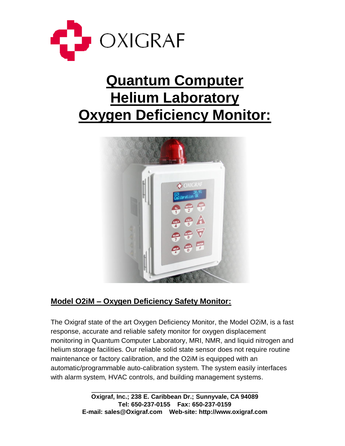

# **Quantum Computer Helium Laboratory Oxygen Deficiency Monitor:**



## **Model O2iM – Oxygen Deficiency Safety Monitor:**

The Oxigraf state of the art Oxygen Deficiency Monitor, the Model O2iM, is a fast response, accurate and reliable safety monitor for oxygen displacement monitoring in Quantum Computer Laboratory, MRI, NMR, and liquid nitrogen and helium storage facilities. Our reliable solid state sensor does not require routine maintenance or factory calibration, and the O2iM is equipped with an automatic/programmable auto-calibration system. The system easily interfaces with alarm system, HVAC controls, and building management systems.

> **Oxigraf, Inc.; 238 E. Caribbean Dr.; Sunnyvale, CA 94089 Tel: 650-237-0155 Fax: 650-237-0159 E-mail: sales@Oxigraf.com Web-site: http://www.oxigraf.com**

\_\_\_\_\_\_\_\_\_\_\_\_\_\_\_\_\_\_\_\_\_\_\_\_\_\_\_\_\_\_\_\_\_\_\_\_\_\_\_\_\_\_\_\_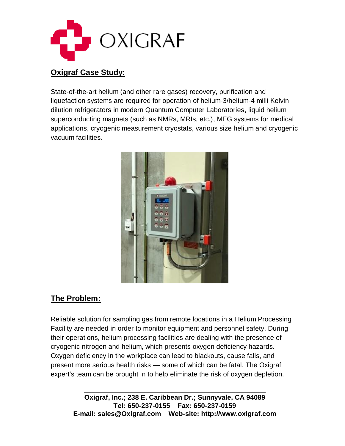

#### **Oxigraf Case Study:**

State-of-the-art helium (and other rare gases) recovery, purification and liquefaction systems are required for operation of helium-3/helium-4 milli Kelvin dilution refrigerators in modern Quantum Computer Laboratories, liquid helium superconducting magnets (such as NMRs, MRIs, etc.), MEG systems for medical applications, cryogenic measurement cryostats, various size helium and cryogenic vacuum facilities.



#### **The Problem:**

Reliable solution for sampling gas from remote locations in a Helium Processing Facility are needed in order to monitor equipment and personnel safety. During their operations, helium processing facilities are dealing with the presence of cryogenic nitrogen and helium, which presents oxygen deficiency hazards. Oxygen deficiency in the workplace can lead to blackouts, cause falls, and present more serious health risks — some of which can be fatal. The Oxigraf expert's team can be brought in to help eliminate the risk of oxygen depletion.

\_\_\_\_\_\_\_\_\_\_\_\_\_\_\_\_\_\_\_\_\_\_\_\_\_\_\_\_\_\_\_\_\_\_\_\_\_\_\_\_\_\_\_\_\_\_\_\_ **Oxigraf, Inc.; 238 E. Caribbean Dr.; Sunnyvale, CA 94089 Tel: 650-237-0155 Fax: 650-237-0159 E-mail: sales@Oxigraf.com Web-site: http://www.oxigraf.com**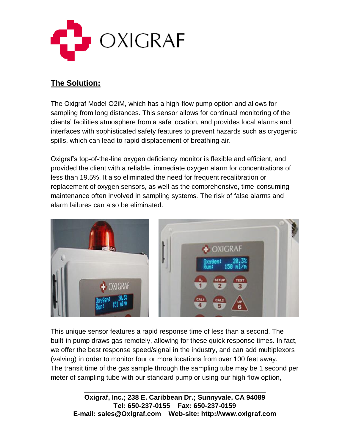

### **The Solution:**

The Oxigraf Model O2iM, which has a high-flow pump option and allows for sampling from long distances. This sensor allows for continual monitoring of the clients' facilities atmosphere from a safe location, and provides local alarms and interfaces with sophisticated safety features to prevent hazards such as cryogenic spills, which can lead to rapid displacement of breathing air.

Oxigraf's top-of-the-line oxygen deficiency monitor is flexible and efficient, and provided the client with a reliable, immediate oxygen alarm for concentrations of less than 19.5%. It also eliminated the need for frequent recalibration or replacement of oxygen sensors, as well as the comprehensive, time-consuming maintenance often involved in sampling systems. The risk of false alarms and alarm failures can also be eliminated.



This unique sensor features a rapid response time of less than a second. The built-in pump draws gas remotely, allowing for these quick response times. In fact, we offer the best response speed/signal in the industry, and can add multiplexors (valving) in order to monitor four or more locations from over 100 feet away. The transit time of the gas sample through the sampling tube may be 1 second per meter of sampling tube with our standard pump or using our high flow option,

\_\_\_\_\_\_\_\_\_\_\_\_\_\_\_\_\_\_\_\_\_\_\_\_\_\_\_\_\_\_\_\_\_\_\_\_\_\_\_\_\_\_\_\_\_\_\_\_ **Oxigraf, Inc.; 238 E. Caribbean Dr.; Sunnyvale, CA 94089 Tel: 650-237-0155 Fax: 650-237-0159 E-mail: sales@Oxigraf.com Web-site: http://www.oxigraf.com**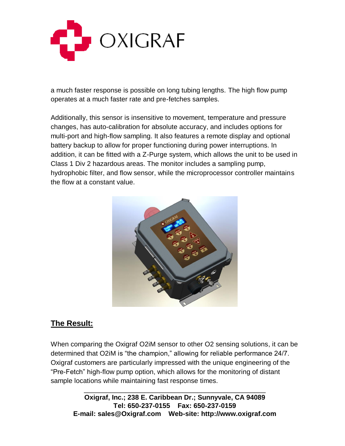

a much faster response is possible on long tubing lengths. The high flow pump operates at a much faster rate and pre-fetches samples.

Additionally, this sensor is insensitive to movement, temperature and pressure changes, has auto-calibration for absolute accuracy, and includes options for multi-port and high-flow sampling. It also features a remote display and optional battery backup to allow for proper functioning during power interruptions. In addition, it can be fitted with a Z-Purge system, which allows the unit to be used in Class 1 Div 2 hazardous areas. The monitor includes a sampling pump, hydrophobic filter, and flow sensor, while the microprocessor controller maintains the flow at a constant value.



## **The Result:**

When comparing the Oxigraf O2iM sensor to other O2 sensing solutions, it can be determined that O2iM is "the champion," allowing for reliable performance 24/7. Oxigraf customers are particularly impressed with the unique engineering of the "Pre-Fetch" high-flow pump option, which allows for the monitoring of distant sample locations while maintaining fast response times.

\_\_\_\_\_\_\_\_\_\_\_\_\_\_\_\_\_\_\_\_\_\_\_\_\_\_\_\_\_\_\_\_\_\_\_\_\_\_\_\_\_\_\_\_\_\_\_\_ **Oxigraf, Inc.; 238 E. Caribbean Dr.; Sunnyvale, CA 94089 Tel: 650-237-0155 Fax: 650-237-0159 E-mail: sales@Oxigraf.com Web-site: http://www.oxigraf.com**